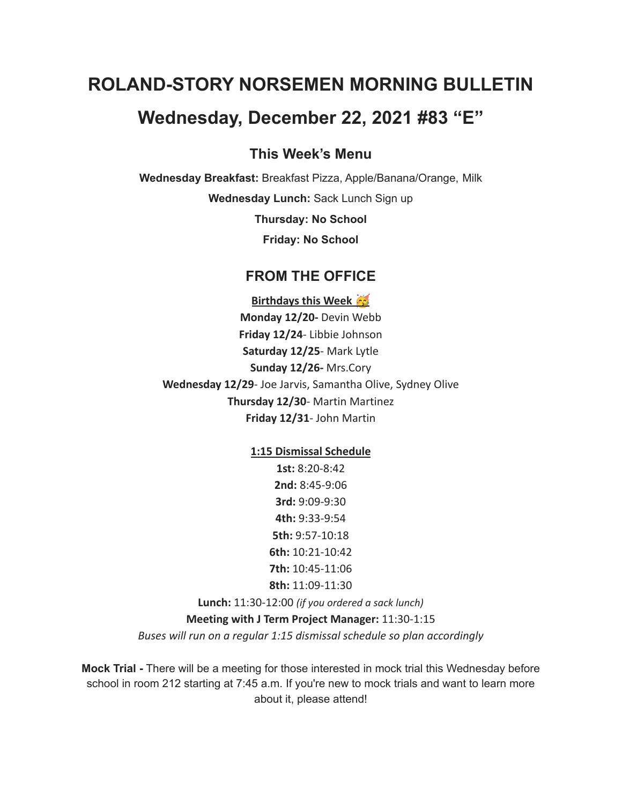# **ROLAND-STORY NORSEMEN MORNING BULLETIN**

## **Wednesday, December 22, 2021 #83 "E"**

#### **This Week's Menu**

**Wednesday Breakfast:** Breakfast Pizza, Apple/Banana/Orange, Milk **Wednesday Lunch:** Sack Lunch Sign up

**Thursday: No School**

**Friday: No School**

#### **FROM THE OFFICE**

**Birthdays this Week Monday 12/20-** Devin Webb **Friday 12/24**- Libbie Johnson **Saturday 12/25**- Mark Lytle **Sunday 12/26-** Mrs.Cory **Wednesday 12/29**- Joe Jarvis, Samantha Olive, Sydney Olive **Thursday 12/30**- Martin Martinez **Friday 12/31**- John Martin

**1:15 Dismissal Schedule**

**1st:** 8:20-8:42 **2nd:** 8:45-9:06 **3rd:** 9:09-9:30 **4th:** 9:33-9:54 **5th:** 9:57-10:18 **6th:** 10:21-10:42 **7th:** 10:45-11:06 **8th:** 11:09-11:30

**Lunch:** 11:30-12:00 *(if you ordered a sack lunch)*

**Meeting with J Term Project Manager:** 11:30-1:15

*Buses will run on a regular 1:15 dismissal schedule so plan accordingly*

**Mock Trial -** There will be a meeting for those interested in mock trial this Wednesday before school in room 212 starting at 7:45 a.m. If you're new to mock trials and want to learn more about it, please attend!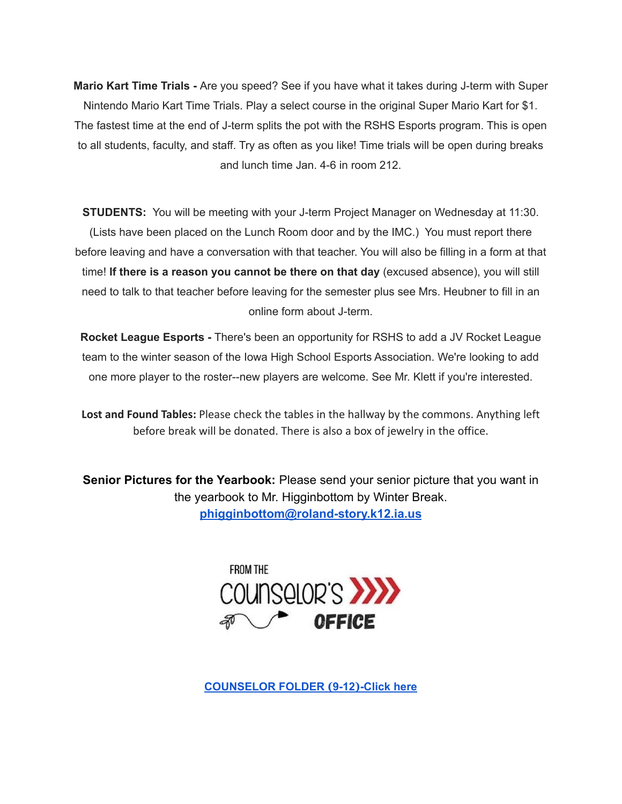**Mario Kart Time Trials -** Are you speed? See if you have what it takes during J-term with Super Nintendo Mario Kart Time Trials. Play a select course in the original Super Mario Kart for \$1. The fastest time at the end of J-term splits the pot with the RSHS Esports program. This is open to all students, faculty, and staff. Try as often as you like! Time trials will be open during breaks and lunch time Jan. 4-6 in room 212.

**STUDENTS:** You will be meeting with your J-term Project Manager on Wednesday at 11:30. (Lists have been placed on the Lunch Room door and by the IMC.) You must report there before leaving and have a conversation with that teacher. You will also be filling in a form at that time! **If there is a reason you cannot be there on that day** (excused absence), you will still need to talk to that teacher before leaving for the semester plus see Mrs. Heubner to fill in an online form about J-term.

**Rocket League Esports -** There's been an opportunity for RSHS to add a JV Rocket League team to the winter season of the Iowa High School Esports Association. We're looking to add one more player to the roster--new players are welcome. See Mr. Klett if you're interested.

**Lost and Found Tables:** Please check the tables in the hallway by the commons. Anything left before break will be donated. There is also a box of jewelry in the office.

**Senior Pictures for the Yearbook:** Please send your senior picture that you want in the yearbook to Mr. Higginbottom by Winter Break. **[phigginbottom@roland-story.k12.ia.us](mailto:phigginbottom@roland-story.k12.ia.us)**



**[COUNSELOR](https://docs.google.com/document/d/1vmwczNPbDzXe9vFaG5LJMQ7NYDv-i4oQJHybqA65TUc/edit?usp=sharing) FOLDER (9-12)-Click here**